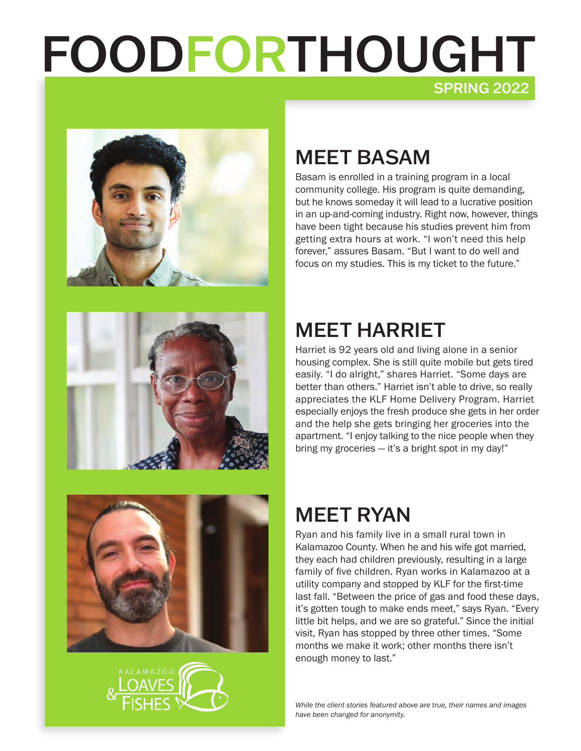# FOODFORTHOUGHT SPRING 2022









# MEET BASAM

Basam is enrolled in a training program in a local community college. His program is quite demanding, but he knows someday it will lead to a lucrative position in an up-and-coming industry. Right now, however, things have been tight because his studies prevent him from getting extra hours at work. "I won't need this help forever," assures Basam. "But I want to do well and focus on my studies. This is my ticket to the future."

## MEET HARRIET

Harriet is 92 years old and living alone in a senior housing complex. She is still quite mobile but gets tired easily. "I do alright," shares Harriet. "Some days are better than others." Harriet isn't able to drive, so really appreciates the KLF Home Delivery Program. Harriet especially enjoys the fresh produce she gets in her order and the help she gets bringing her groceries into the apartment. "I enjoy talking to the nice people when they bring my groceries — it's a bright spot in my day!"

# MEET RYAN

Ryan and his family live in a small rural town in Kalamazoo County. When he and his wife got married, they each had children previously, resulting in a large family of five children. Ryan works in Kalamazoo at a utility company and stopped by KLF for the first-time last fall. "Between the price of gas and food these days, it's gotten tough to make ends meet," says Ryan. "Every little bit helps, and we are so grateful." Since the initial visit, Ryan has stopped by three other times. "Some months we make it work; other months there isn't enough money to last."

*While the client stories featured above are true, their names and images have been changed for anonymity.*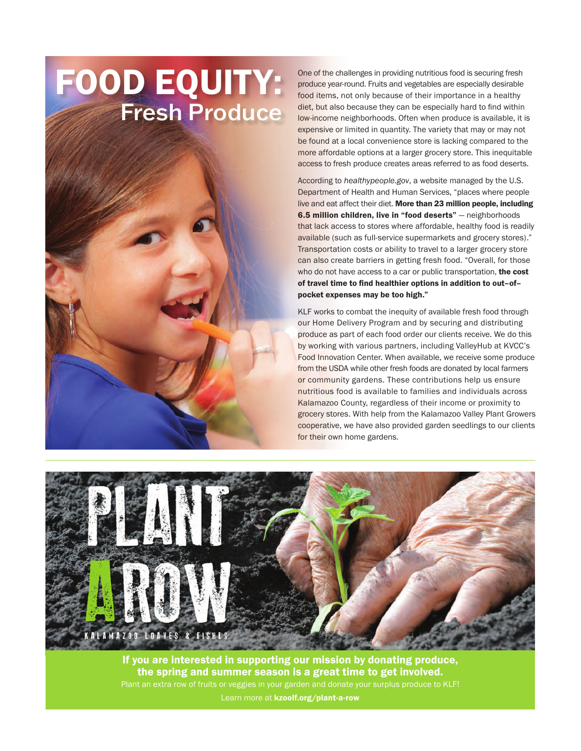# FOOD EQUITY: Fresh Produce



One of the challenges in providing nutritious food is securing fresh produce year-round. Fruits and vegetables are especially desirable food items, not only because of their importance in a healthy diet, but also because they can be especially hard to find within low-income neighborhoods. Often when produce is available, it is expensive or limited in quantity. The variety that may or may not be found at a local convenience store is lacking compared to the more affordable options at a larger grocery store. This inequitable access to fresh produce creates areas referred to as food deserts.

According to *healthypeople.gov*, a website managed by the U.S. Department of Health and Human Services, "places where people live and eat affect their diet. More than 23 million people, including 6.5 million children, live in "food deserts" - neighborhoods that lack access to stores where affordable, healthy food is readily available (such as full-service supermarkets and grocery stores)." Transportation costs or ability to travel to a larger grocery store can also create barriers in getting fresh food. "Overall, for those who do not have access to a car or public transportation, the cost of travel time to find healthier options in addition to out–of– pocket expenses may be too high."

KLF works to combat the inequity of available fresh food through our Home Delivery Program and by securing and distributing produce as part of each food order our clients receive. We do this by working with various partners, including ValleyHub at KVCC's Food Innovation Center. When available, we receive some produce from the USDA while other fresh foods are donated by local farmers or community gardens. These contributions help us ensure nutritious food is available to families and individuals across Kalamazoo County, regardless of their income or proximity to grocery stores. With help from the Kalamazoo Valley Plant Growers cooperative, we have also provided garden seedlings to our clients for their own home gardens.



If you are interested in supporting our mission by donating produce, the spring and summer season is a great time to get involved. Plant an extra row of fruits or veggies in your garden and donate your surplus produce to KLF! Learn more at kzoolf.org/plant-a-row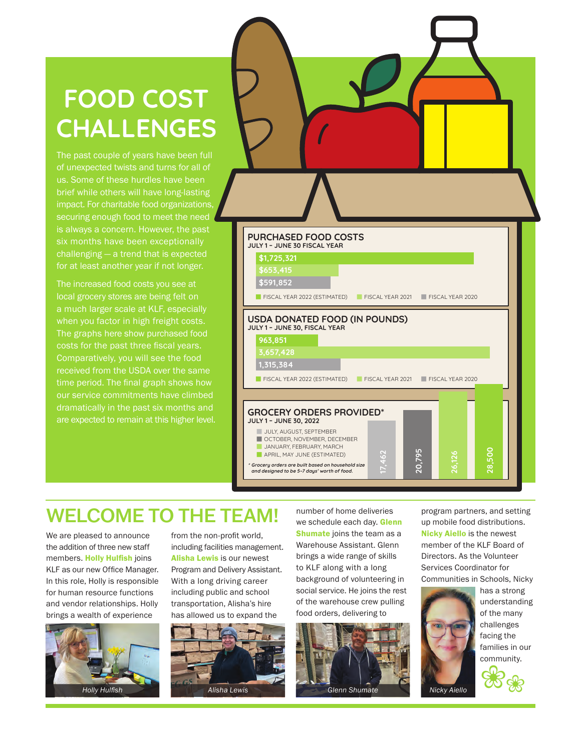# **FOOD COST CHALLENGES**

The past couple of years have been full of unexpected twists and turns for all of us. Some of these hurdles have been brief while others will have long-lasting impact. For charitable food organizations, securing enough food to meet the need six months have been exceptionally challenging — a trend that is expected for at least another year if not longer.

The increased food costs you see at local grocery stores are being felt on a much larger scale at KLF, especially when you factor in high freight costs. The graphs here show purchased food costs for the past three fiscal years. Comparatively, you will see the food received from the USDA over the same time period. The final graph shows how our service commitments have climbed are expected to remain at this higher level.



### WELCOME TO THE TEAM!

We are pleased to announce the addition of three new staff members. Holly Hulfish joins KLF as our new Office Manager. In this role, Holly is responsible for human resource functions and vendor relationships. Holly brings a wealth of experience



from the non-profit world, including facilities management. Alisha Lewis is our newest Program and Delivery Assistant. With a long driving career including public and school transportation, Alisha's hire has allowed us to expand the



number of home deliveries we schedule each day. Glenn Shumate joins the team as a Warehouse Assistant. Glenn brings a wide range of skills to KLF along with a long background of volunteering in social service. He joins the rest of the warehouse crew pulling food orders, delivering to



program partners, and setting up mobile food distributions. Nicky Aiello is the newest member of the KLF Board of Directors. As the Volunteer Services Coordinator for Communities in Schools, Nicky



has a strong understanding of the many challenges facing the families in our community.

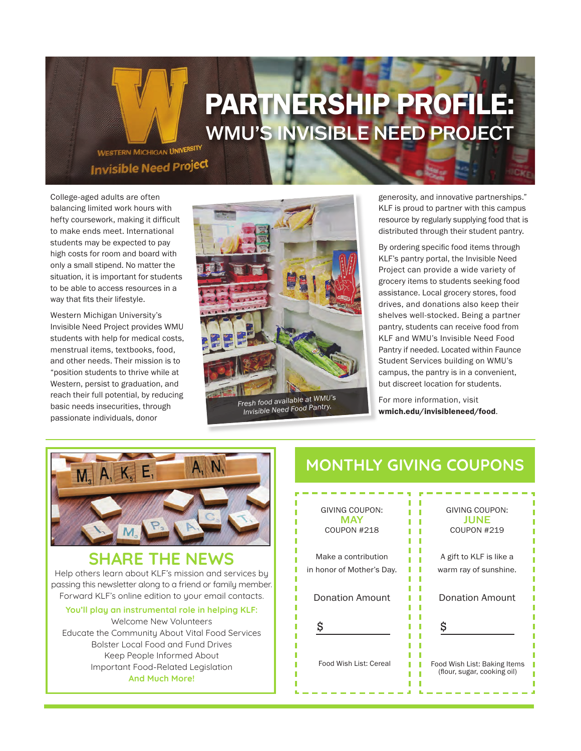# PARTNERSHIP PROFILE: WMU'S INVISIBLE NEED PROJECT

WESTERN MICHIGAN UNIVERSITY **Invisible Need Project** 

College-aged adults are often balancing limited work hours with hefty coursework, making it difficult to make ends meet. International students may be expected to pay high costs for room and board with only a small stipend. No matter the situation, it is important for students to be able to access resources in a way that fits their lifestyle.

Western Michigan University's Invisible Need Project provides WMU students with help for medical costs, menstrual items, textbooks, food, and other needs. Their mission is to "position students to thrive while at Western, persist to graduation, and reach their full potential, by reducing basic needs insecurities, through passionate individuals, donor



*Invisible Need Food Pantry.*

generosity, and innovative partnerships." KLF is proud to partner with this campus resource by regularly supplying food that is distributed through their student pantry.

By ordering specific food items through KLF's pantry portal, the Invisible Need Project can provide a wide variety of grocery items to students seeking food assistance. Local grocery stores, food drives, and donations also keep their shelves well-stocked. Being a partner pantry, students can receive food from KLF and WMU's Invisible Need Food Pantry if needed. Located within Faunce Student Services building on WMU's campus, the pantry is in a convenient, but discreet location for students.

For more information, visit wmich.edu/invisibleneed/food.



#### **SHARE THE NEWS** Help others learn about KLF's mission and services by passing this newsletter along to a friend or family member. Forward KLF's online edition to your email contacts.

**You'll play an instrumental role in helping KLF:**  Welcome New Volunteers Educate the Community About Vital Food Services Bolster Local Food and Fund Drives Keep People Informed About Important Food-Related Legislation **And Much More!**

### **MONTHLY GIVING COUPONS**

| GIVING COUPON:<br><b>MAY</b><br>COUPON #218 | GIVING COUPON:<br>JUNE<br>COUPON #219                       |
|---------------------------------------------|-------------------------------------------------------------|
| Make a contribution                         | A gift to KLF is like a                                     |
| in honor of Mother's Day.                   | warm ray of sunshine.                                       |
| <b>Donation Amount</b>                      | <b>Donation Amount</b>                                      |
| \$                                          | \$                                                          |
| Food Wish List: Cereal                      | Food Wish List: Baking Items<br>(flour, sugar, cooking oil) |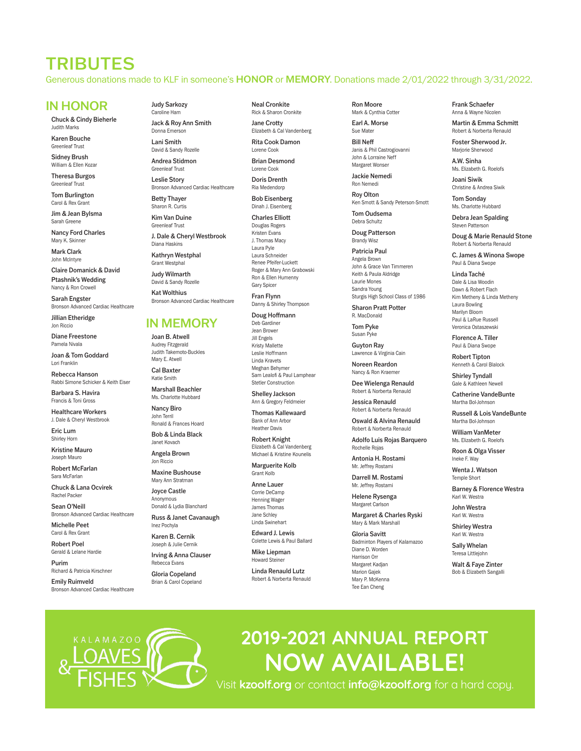TRIBUTES Generous donations made to KLF in someone's HONOR or MEMORY. Donations made 2/01/2022 through 3/31/2022.

#### IN HONOR

Chuck & Cindy Bieherle Judith Marks

Karen Bouche Greenleaf Trust

Sidney Brush William & Ellen Kozar

Theresa Burgos Greenleaf Trust

Tom Burlington Carol & Rex Grant

Jim & Jean Bylsma Sarah Greene

Nancy Ford Charles Mary K. Skinner

Mark Clark John McIntyre

Claire Domanick & David Ptashnik's Wedding Nancy & Ron Crowell

Sarah Engster Bronson Advanced Cardiac Healthcare

Jillian Etheridge Jon Riccio

Diane Freestone Pamela Nivala

Joan & Tom Goddard Lori Franklin

Rebecca Hanson Rabbi Simone Schicker & Keith Eiser

Barbara S. Havira Francis & Toni Gross

Healthcare Workers J. Dale & Cheryl Westbrook

Eric Lum Shirley Horn

Kristine Mauro Joseph Mauro

Robert McFarlan Sara McFarlan

Chuck & Lana Ocvirek Rachel Packer

Sean O'Neill Bronson Advanced Cardiac Healthcare

Michelle Peet Carol & Rex Grant

Robert Poel Gerald & Lelane Hardie

Purim Richard & Patricia Kirschner

Emily Ruimveld Bronson Advanced Cardiac Healthcare

KAI AMAZOO

Judy Sarkozy Caroline Ham Jack & Roy Ann Smith

Donna Emerson Lani Smith

David & Sandy Rozelle Andrea Stidmon

Greenleaf Trust Leslie Story

Sharon R. Curtis

Bronson Advanced Cardiac Healthcare Betty Thayer

Kim Van Duine Greenleaf Trust

J. Dale & Cheryl Westbrook Diana Haskins

Kathryn Westphal Grant Westphal

Judy Wilmarth David & Sandy Rozelle

Kat Wolthius Bronson Advanced Cardiac Healthcare

#### IN MEMORY

Joan B. Atwell Audrey Fitzgerald Judith Takemoto-Buckles Mary E. Atwell

Cal Baxter Katie Smith

Marshall Beachler Ms. Charlotte Hubbard

Nancy Biro John Terril Ronald & Frances Hoard

Bob & Linda Black Janet Kovach Angela Brown

Jon Riccio Maxine Bushouse

Mary Ann Stratman Joyce Castle Anonymous

Donald & Lydia Blanchard Russ & Janet Cavanaugh Inez Pochyla

Karen B. Cernik

Joseph & Julie Cernik Irving & Anna Clauser Rebecca Evans

Gloria Copeland Brian & Carol Copeland Neal Cronkite Rick & Sharon Cronkite Jane Crotty

Elizabeth & Cal Vandenberg Rita Cook Damon

Lorene Cook Brian Desmond

Lorene Cook Doris Drenth

> Ria Medendorp Bob Eisenberg

Dinah J. Eisenberg

Charles Elliott Douglas Rogers Kristen Evans J. Thomas Macy

Laura Pyle Laura Schneider Renee Pfeifer-Luckett Roger & Mary Ann Grabowski Ron & Ellen Humenny Gary Spice

Fran Flynn Danny & Shirley Thompson

Doug Hoffmann Deb Gardiner Jean Brower Jill Engels Kristy Mallette Leslie Hoffmann Linda Kravets Meghan Behyme Sam Lealofi & Paul Lamphear Stetler Construction

Shelley Jackson Ann & Gregory Feldmeier

Thomas Kallewaard Bank of Ann Arbor Heather Davis

Robert Knight Elizabeth & Cal Vandenberg Michael & Kristine Kounelis

Marguerite Kolb Grant Kolb

Anne Lauer Corrie DeCamp Henning Wager James Thomas Jane Schley Linda Swinehart

Edward J. Lewis Colette Lewis & Paul Ballard

Mike Liepman Howard Steiner

Linda Renauld Lutz Robert & Norberta Renauld Ron Moore Mark & Cynthia Cotter Earl A. Morse

Sue Mate Bill Neff Janis & Phil Castrogiovanni John & Lorraine Neff

Margaret Wonse Jackie Nemedi Ron Nemedi

Roy Olton Ken Smott & Sandy Peterson-Smott

Tom Oudsema Debra Schultz

Doug Patterson Brandy Wisz

Patricia Paul Angela Brown John & Grace Van Timmeren Keith & Paula Aldridge Laurie Mones Sandra Young Sturgis High School Class of 1986

Sharon Pratt Potter R. MacDonald

Tom Pyke Susan Pyke

Guyton Ray Lawrence & Virginia Cain Noreen Reardon

Nancy & Ron Kraemer Dee Wielenga Renauld Robert & Norberta Renauld

Jessica Renauld Robert & Norberta Renauld

Oswald & Alvina Renauld Robert & Norberta Renauld

Adolfo Luis Rojas Barquero Rochelle Rojas

Antonia H. Rostami Mr. Jeffrey Rostami

Darrell M. Rostami Mr. Jeffrey Rostami

Helene Rysenga Margaret Carlson

Margaret & Charles Ryski Mary & Mark Marshall

Gloria Savitt Badminton Players of Kalamazoo Diane D. Worden Harrison Orr Margaret Kadjan Marion Gajek Mary P. McKenna Tee Ean Cheng

**2019-2021 ANNUAL REPORT** 

**NOW AVAILABLE!**

Visit **kzoolf.org** or contact **info@kzoolf.org** for a hard copy.

Frank Schaefer Anna & Wayne Nicolen

Martin & Emma Schmitt Robert & Norberta Renauld

Foster Sherwood Jr. Marjorie Sherwood

A.W. Sinha Ms. Elizabeth G. Roelofs

Joani Siwik Christine & Andrea Siwik

Tom Sonday Ms. Charlotte Hubbard

Debra Jean Spalding Steven Patterson

Doug & Marie Renauld Stone Robert & Norberta Renauld

C. James & Winona Swope Paul & Diana Swope

Linda Taché Dale & Lisa Woodin Dawn & Robert Flach Kim Metheny & Linda Metheny Laura Bowling Marilyn Bloom Paul & LaRue Russell Veronica Ostaszewski

Florence A. Tiller Paul & Diana Swope

Robert Tipton Kenneth & Carol Blalock Shirley Tyndall

Gale & Kathleen Newell Catherine VandeBunte Martha Bol-Johnson

Russell & Lois VandeBunte Martha Bol-Johnson William VanMeter Ms. Elizabeth G. Roelofs Roon & Olga Visser Ineke F. Way Wenta J. Watson Temple Short

Barney & Florence Westra

Karl W. Westra John Westra Karl W. Westra Shirley Westra Karl W. Westra Sally Whelan Teresa Littlejohn Walt & Faye Zinter Bob & Elizabeth Sangalli